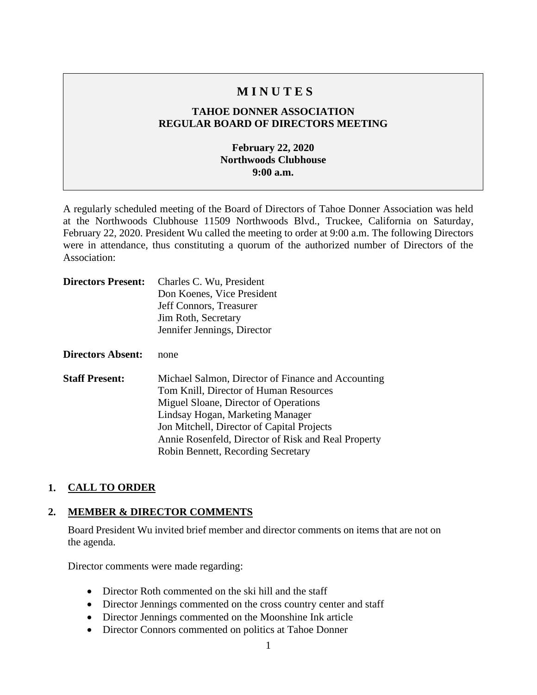# **M I N U T E S**

# **TAHOE DONNER ASSOCIATION REGULAR BOARD OF DIRECTORS MEETING**

# **February 22, 2020 Northwoods Clubhouse 9:00 a.m.**

A regularly scheduled meeting of the Board of Directors of Tahoe Donner Association was held at the Northwoods Clubhouse 11509 Northwoods Blvd., Truckee, California on Saturday, February 22, 2020. President Wu called the meeting to order at 9:00 a.m. The following Directors were in attendance, thus constituting a quorum of the authorized number of Directors of the Association:

| <b>Directors Present:</b> | Charles C. Wu, President<br>Don Koenes, Vice President<br>Jeff Connors, Treasurer<br>Jim Roth, Secretary                                                                                                                                                                                                             |
|---------------------------|----------------------------------------------------------------------------------------------------------------------------------------------------------------------------------------------------------------------------------------------------------------------------------------------------------------------|
|                           | Jennifer Jennings, Director                                                                                                                                                                                                                                                                                          |
| <b>Directors Absent:</b>  | none                                                                                                                                                                                                                                                                                                                 |
| <b>Staff Present:</b>     | Michael Salmon, Director of Finance and Accounting<br>Tom Knill, Director of Human Resources<br>Miguel Sloane, Director of Operations<br>Lindsay Hogan, Marketing Manager<br>Jon Mitchell, Director of Capital Projects<br>Annie Rosenfeld, Director of Risk and Real Property<br>Robin Bennett, Recording Secretary |

# **1. CALL TO ORDER**

#### **2. MEMBER & DIRECTOR COMMENTS**

Board President Wu invited brief member and director comments on items that are not on the agenda.

Director comments were made regarding:

- Director Roth commented on the ski hill and the staff
- Director Jennings commented on the cross country center and staff
- Director Jennings commented on the Moonshine Ink article
- Director Connors commented on politics at Tahoe Donner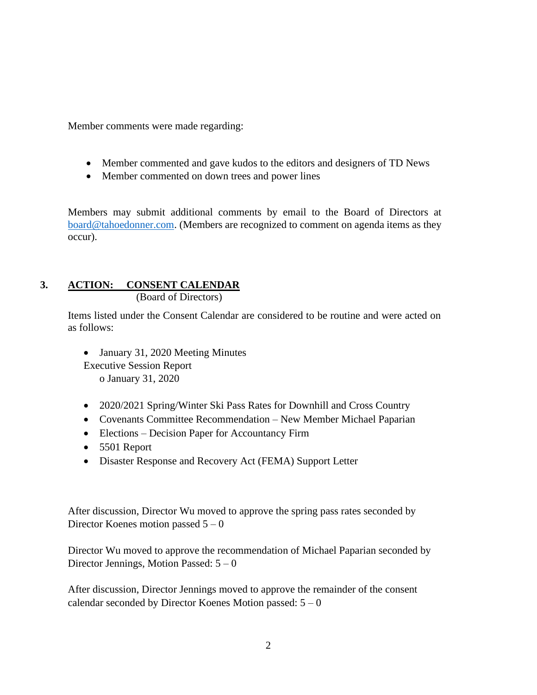Member comments were made regarding:

- Member commented and gave kudos to the editors and designers of TD News
- Member commented on down trees and power lines

Members may submit additional comments by email to the Board of Directors at [board@tahoedonner.com.](mailto:board@tahoedonner.com) (Members are recognized to comment on agenda items as they occur).

# **3. ACTION: CONSENT CALENDAR**

(Board of Directors)

Items listed under the Consent Calendar are considered to be routine and were acted on as follows:

• January 31, 2020 Meeting Minutes Executive Session Report o January 31, 2020

- 2020/2021 Spring/Winter Ski Pass Rates for Downhill and Cross Country
- Covenants Committee Recommendation New Member Michael Paparian
- Elections Decision Paper for Accountancy Firm
- 5501 Report
- Disaster Response and Recovery Act (FEMA) Support Letter

After discussion, Director Wu moved to approve the spring pass rates seconded by Director Koenes motion passed  $5 - 0$ 

Director Wu moved to approve the recommendation of Michael Paparian seconded by Director Jennings, Motion Passed:  $5 - 0$ 

After discussion, Director Jennings moved to approve the remainder of the consent calendar seconded by Director Koenes Motion passed:  $5 - 0$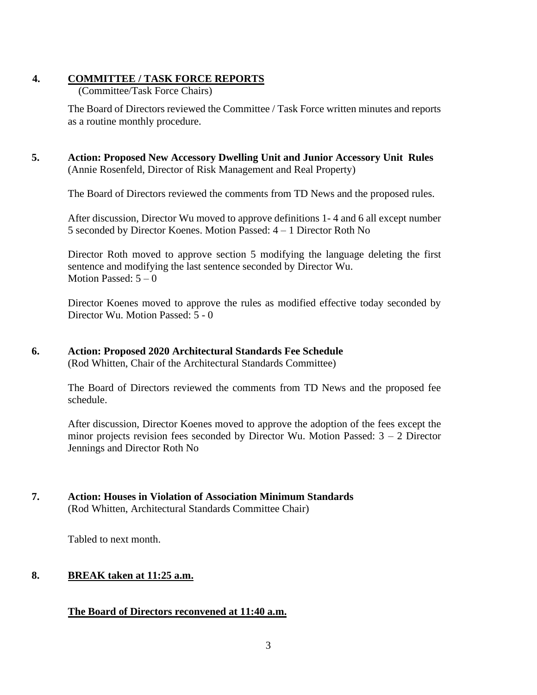### **4. COMMITTEE / TASK FORCE REPORTS**

(Committee/Task Force Chairs)

The Board of Directors reviewed the Committee / Task Force written minutes and reports as a routine monthly procedure.

**5. Action: Proposed New Accessory Dwelling Unit and Junior Accessory Unit Rules**  (Annie Rosenfeld, Director of Risk Management and Real Property)

The Board of Directors reviewed the comments from TD News and the proposed rules.

After discussion, Director Wu moved to approve definitions 1- 4 and 6 all except number 5 seconded by Director Koenes. Motion Passed: 4 – 1 Director Roth No

Director Roth moved to approve section 5 modifying the language deleting the first sentence and modifying the last sentence seconded by Director Wu. Motion Passed:  $5-0$ 

Director Koenes moved to approve the rules as modified effective today seconded by Director Wu. Motion Passed: 5 - 0

## **6. Action: Proposed 2020 Architectural Standards Fee Schedule**

(Rod Whitten, Chair of the Architectural Standards Committee)

The Board of Directors reviewed the comments from TD News and the proposed fee schedule.

After discussion, Director Koenes moved to approve the adoption of the fees except the minor projects revision fees seconded by Director Wu. Motion Passed:  $3 - 2$  Director Jennings and Director Roth No

**7. Action: Houses in Violation of Association Minimum Standards** (Rod Whitten, Architectural Standards Committee Chair)

Tabled to next month.

# **8. BREAK taken at 11:25 a.m.**

# **The Board of Directors reconvened at 11:40 a.m.**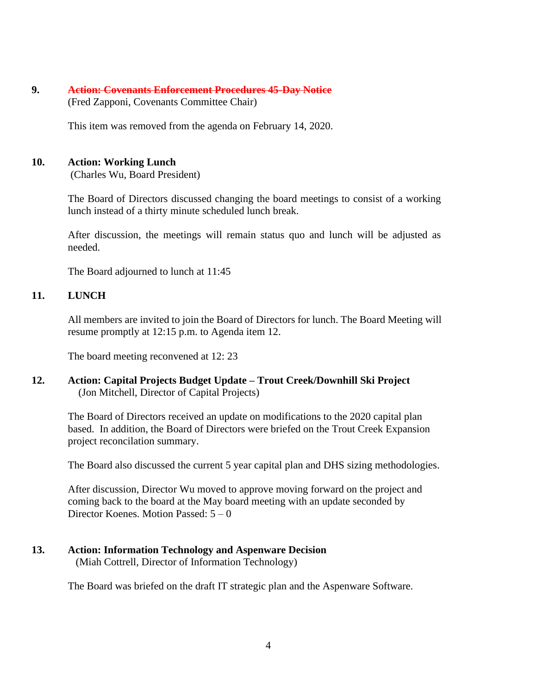#### **9. Action: Covenants Enforcement Procedures 45-Day Notice** (Fred Zapponi, Covenants Committee Chair)

This item was removed from the agenda on February 14, 2020.

#### **10. Action: Working Lunch**

(Charles Wu, Board President)

The Board of Directors discussed changing the board meetings to consist of a working lunch instead of a thirty minute scheduled lunch break.

After discussion, the meetings will remain status quo and lunch will be adjusted as needed.

The Board adjourned to lunch at 11:45

### **11. LUNCH**

All members are invited to join the Board of Directors for lunch. The Board Meeting will resume promptly at 12:15 p.m. to Agenda item 12.

The board meeting reconvened at 12: 23

**12. Action: Capital Projects Budget Update – Trout Creek/Downhill Ski Project** (Jon Mitchell, Director of Capital Projects)

The Board of Directors received an update on modifications to the 2020 capital plan based. In addition, the Board of Directors were briefed on the Trout Creek Expansion project reconcilation summary.

The Board also discussed the current 5 year capital plan and DHS sizing methodologies.

After discussion, Director Wu moved to approve moving forward on the project and coming back to the board at the May board meeting with an update seconded by Director Koenes. Motion Passed: 5 – 0

# **13. Action: Information Technology and Aspenware Decision**

(Miah Cottrell, Director of Information Technology)

The Board was briefed on the draft IT strategic plan and the Aspenware Software.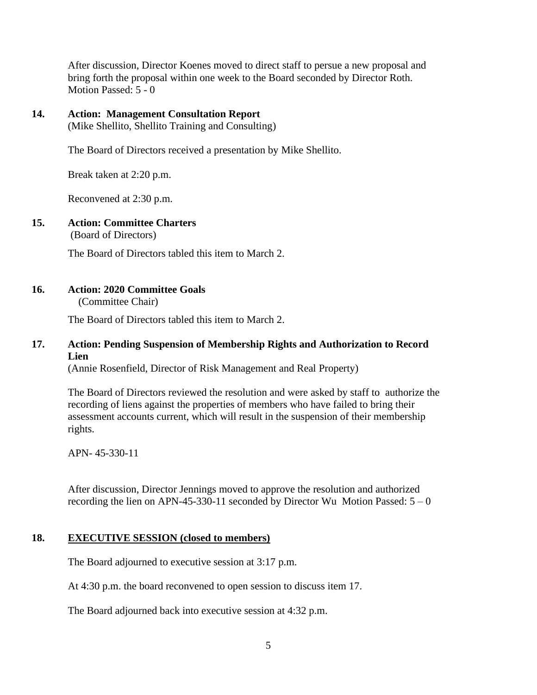After discussion, Director Koenes moved to direct staff to persue a new proposal and bring forth the proposal within one week to the Board seconded by Director Roth. Motion Passed: 5 - 0

#### **14. Action: Management Consultation Report**

(Mike Shellito, Shellito Training and Consulting)

The Board of Directors received a presentation by Mike Shellito.

Break taken at 2:20 p.m.

Reconvened at 2:30 p.m.

# **15. Action: Committee Charters**

(Board of Directors)

The Board of Directors tabled this item to March 2.

#### **16. Action: 2020 Committee Goals**

(Committee Chair)

The Board of Directors tabled this item to March 2.

#### **17. Action: Pending Suspension of Membership Rights and Authorization to Record Lien**

(Annie Rosenfield, Director of Risk Management and Real Property)

The Board of Directors reviewed the resolution and were asked by staff to authorize the recording of liens against the properties of members who have failed to bring their assessment accounts current, which will result in the suspension of their membership rights.

APN- 45-330-11

After discussion, Director Jennings moved to approve the resolution and authorized recording the lien on APN-45-330-11 seconded by Director Wu Motion Passed:  $5 - 0$ 

#### **18. EXECUTIVE SESSION (closed to members)**

The Board adjourned to executive session at 3:17 p.m.

At 4:30 p.m. the board reconvened to open session to discuss item 17.

The Board adjourned back into executive session at 4:32 p.m.